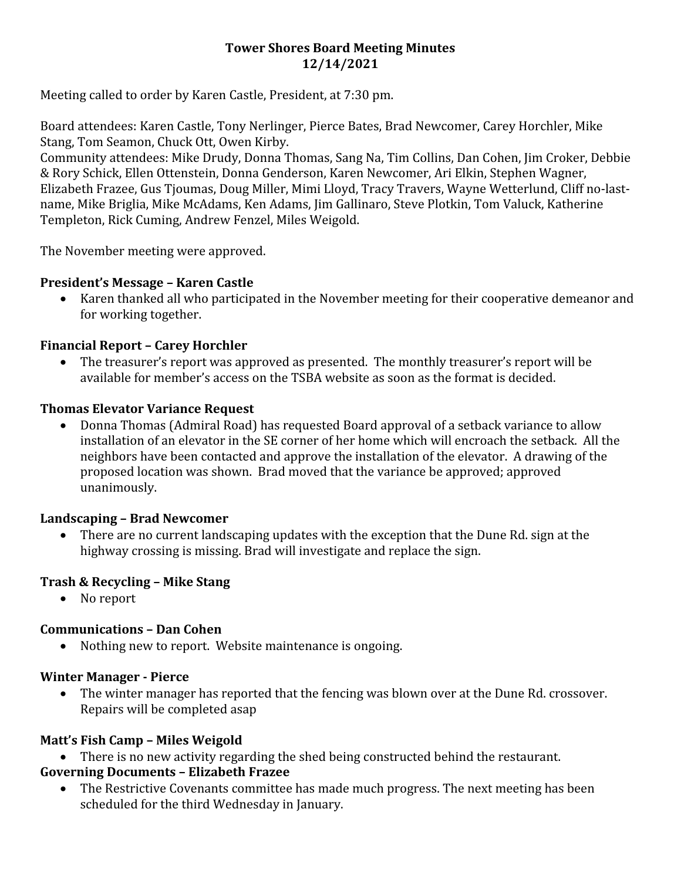#### **Tower Shores Board Meeting Minutes 12/14/2021**

Meeting called to order by Karen Castle, President, at 7:30 pm.

Board attendees: Karen Castle, Tony Nerlinger, Pierce Bates, Brad Newcomer, Carey Horchler, Mike Stang, Tom Seamon, Chuck Ott, Owen Kirby.

Community attendees: Mike Drudy, Donna Thomas, Sang Na, Tim Collins, Dan Cohen, Jim Croker, Debbie & Rory Schick, Ellen Ottenstein, Donna Genderson, Karen Newcomer, Ari Elkin, Stephen Wagner, Elizabeth Frazee, Gus Tjoumas, Doug Miller, Mimi Lloyd, Tracy Travers, Wayne Wetterlund, Cliff no-lastname, Mike Briglia, Mike McAdams, Ken Adams, Jim Gallinaro, Steve Plotkin, Tom Valuck, Katherine Templeton, Rick Cuming, Andrew Fenzel, Miles Weigold.

The November meeting were approved.

#### **President's Message – Karen Castle**

 Karen thanked all who participated in the November meeting for their cooperative demeanor and for working together.

# **Financial Report – Carey Horchler**

 The treasurer's report was approved as presented. The monthly treasurer's report will be available for member's access on the TSBA website as soon as the format is decided.

# **Thomas Elevator Variance Request**

 Donna Thomas (Admiral Road) has requested Board approval of a setback variance to allow installation of an elevator in the SE corner of her home which will encroach the setback. All the neighbors have been contacted and approve the installation of the elevator. A drawing of the proposed location was shown. Brad moved that the variance be approved; approved unanimously.

# **Landscaping – Brad Newcomer**

 There are no current landscaping updates with the exception that the Dune Rd. sign at the highway crossing is missing. Brad will investigate and replace the sign.

# **Trash & Recycling – Mike Stang**

• No report

# **Communications – Dan Cohen**

• Nothing new to report. Website maintenance is ongoing.

#### **Winter Manager - Pierce**

 The winter manager has reported that the fencing was blown over at the Dune Rd. crossover. Repairs will be completed asap

# **Matt's Fish Camp – Miles Weigold**

There is no new activity regarding the shed being constructed behind the restaurant.

# **Governing Documents – Elizabeth Frazee**

• The Restrictive Covenants committee has made much progress. The next meeting has been scheduled for the third Wednesday in January.